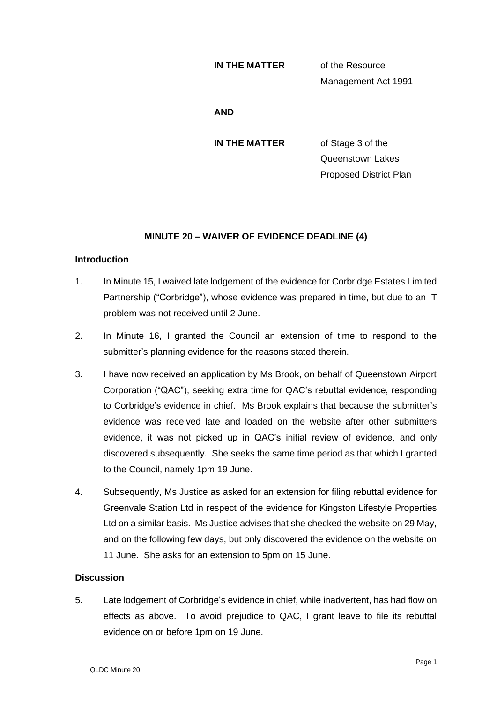#### **IN THE MATTER** of the Resource

Management Act 1991

### **AND**

**IN THE MATTER** of Stage 3 of the Queenstown Lakes Proposed District Plan

# **MINUTE 20 – WAIVER OF EVIDENCE DEADLINE (4)**

## **Introduction**

- 1. In Minute 15, I waived late lodgement of the evidence for Corbridge Estates Limited Partnership ("Corbridge"), whose evidence was prepared in time, but due to an IT problem was not received until 2 June.
- 2. In Minute 16, I granted the Council an extension of time to respond to the submitter's planning evidence for the reasons stated therein.
- 3. I have now received an application by Ms Brook, on behalf of Queenstown Airport Corporation ("QAC"), seeking extra time for QAC's rebuttal evidence, responding to Corbridge's evidence in chief. Ms Brook explains that because the submitter's evidence was received late and loaded on the website after other submitters evidence, it was not picked up in QAC's initial review of evidence, and only discovered subsequently. She seeks the same time period as that which I granted to the Council, namely 1pm 19 June.
- 4. Subsequently, Ms Justice as asked for an extension for filing rebuttal evidence for Greenvale Station Ltd in respect of the evidence for Kingston Lifestyle Properties Ltd on a similar basis. Ms Justice advises that she checked the website on 29 May, and on the following few days, but only discovered the evidence on the website on 11 June. She asks for an extension to 5pm on 15 June.

### **Discussion**

5. Late lodgement of Corbridge's evidence in chief, while inadvertent, has had flow on effects as above. To avoid prejudice to QAC, I grant leave to file its rebuttal evidence on or before 1pm on 19 June.